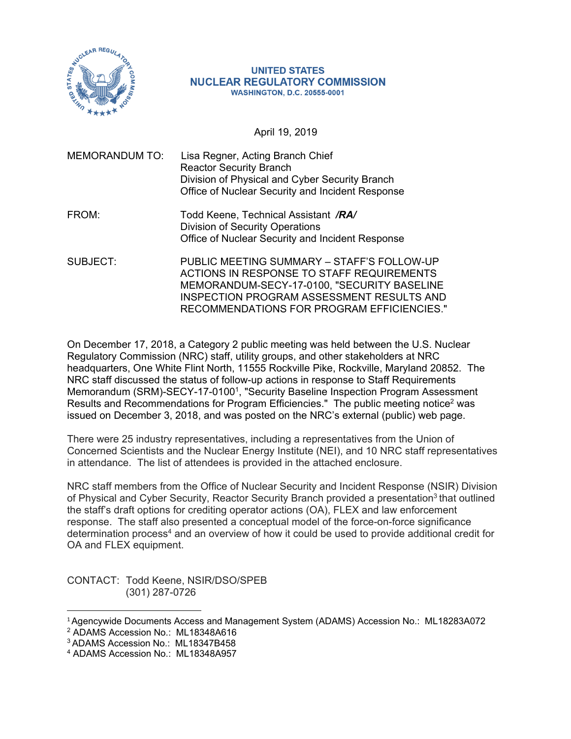

## **UNITED STATES NUCLEAR REGULATORY COMMISSION WASHINGTON, D.C. 20555-0001**

April 19, 2019

| <b>MEMORANDUM TO:</b> | Lisa Regner, Acting Branch Chief<br><b>Reactor Security Branch</b><br>Division of Physical and Cyber Security Branch<br>Office of Nuclear Security and Incident Response |
|-----------------------|--------------------------------------------------------------------------------------------------------------------------------------------------------------------------|
| FROM:                 | Todd Keene, Technical Assistant /RA/<br><b>Division of Security Operations</b><br>Office of Nuclear Security and Incident Response                                       |
| SUBJECT:              | PUBLIC MEETING SUMMARY - STAFF'S FOLLOW-UP                                                                                                                               |

 ACTIONS IN RESPONSE TO STAFF REQUIREMENTS MEMORANDUM-SECY-17-0100, "SECURITY BASELINE INSPECTION PROGRAM ASSESSMENT RESULTS AND RECOMMENDATIONS FOR PROGRAM EFFICIENCIES."

On December 17, 2018, a Category 2 public meeting was held between the U.S. Nuclear Regulatory Commission (NRC) staff, utility groups, and other stakeholders at NRC headquarters, One White Flint North, 11555 Rockville Pike, Rockville, Maryland 20852. The NRC staff discussed the status of follow-up actions in response to Staff Requirements Memorandum (SRM)-SECY-17-01001, "Security Baseline Inspection Program Assessment Results and Recommendations for Program Efficiencies." The public meeting notice<sup>2</sup> was issued on December 3, 2018, and was posted on the NRC's external (public) web page.

There were 25 industry representatives, including a representatives from the Union of Concerned Scientists and the Nuclear Energy Institute (NEI), and 10 NRC staff representatives in attendance. The list of attendees is provided in the attached enclosure.

NRC staff members from the Office of Nuclear Security and Incident Response (NSIR) Division of Physical and Cyber Security, Reactor Security Branch provided a presentation<sup>3</sup> that outlined the staff's draft options for crediting operator actions (OA), FLEX and law enforcement response. The staff also presented a conceptual model of the force-on-force significance determination process4 and an overview of how it could be used to provide additional credit for OA and FLEX equipment.

CONTACT: Todd Keene, NSIR/DSO/SPEB (301) 287-0726

 $\overline{\phantom{a}}$ 

<sup>1</sup>Agencywide Documents Access and Management System (ADAMS) Accession No.: ML18283A072

<sup>2</sup> ADAMS Accession No.: ML18348A616

<sup>3</sup> ADAMS Accession No.: ML18347B458

<sup>4</sup> ADAMS Accession No.: ML18348A957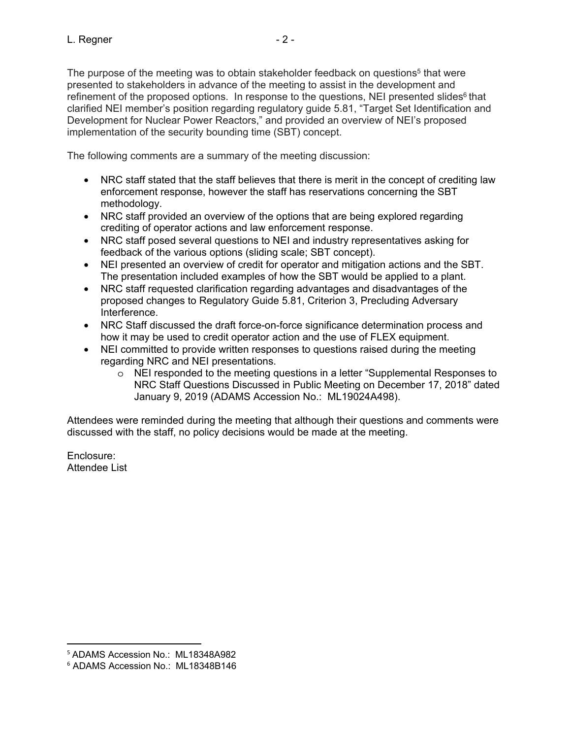The purpose of the meeting was to obtain stakeholder feedback on questions<sup>5</sup> that were presented to stakeholders in advance of the meeting to assist in the development and refinement of the proposed options. In response to the questions, NEI presented slides $6$  that clarified NEI member's position regarding regulatory guide 5.81, "Target Set Identification and Development for Nuclear Power Reactors," and provided an overview of NEI's proposed implementation of the security bounding time (SBT) concept.

The following comments are a summary of the meeting discussion:

- NRC staff stated that the staff believes that there is merit in the concept of crediting law enforcement response, however the staff has reservations concerning the SBT methodology.
- NRC staff provided an overview of the options that are being explored regarding crediting of operator actions and law enforcement response.
- NRC staff posed several questions to NEI and industry representatives asking for feedback of the various options (sliding scale; SBT concept).
- NEI presented an overview of credit for operator and mitigation actions and the SBT. The presentation included examples of how the SBT would be applied to a plant.
- NRC staff requested clarification regarding advantages and disadvantages of the proposed changes to Regulatory Guide 5.81, Criterion 3, Precluding Adversary Interference.
- NRC Staff discussed the draft force-on-force significance determination process and how it may be used to credit operator action and the use of FLEX equipment.
- NEI committed to provide written responses to questions raised during the meeting regarding NRC and NEI presentations.
	- o NEI responded to the meeting questions in a letter "Supplemental Responses to NRC Staff Questions Discussed in Public Meeting on December 17, 2018" dated January 9, 2019 (ADAMS Accession No.: ML19024A498).

Attendees were reminded during the meeting that although their questions and comments were discussed with the staff, no policy decisions would be made at the meeting.

Enclosure: Attendee List

 $\overline{a}$ 

<sup>5</sup> ADAMS Accession No.: ML18348A982

<sup>6</sup> ADAMS Accession No.: ML18348B146